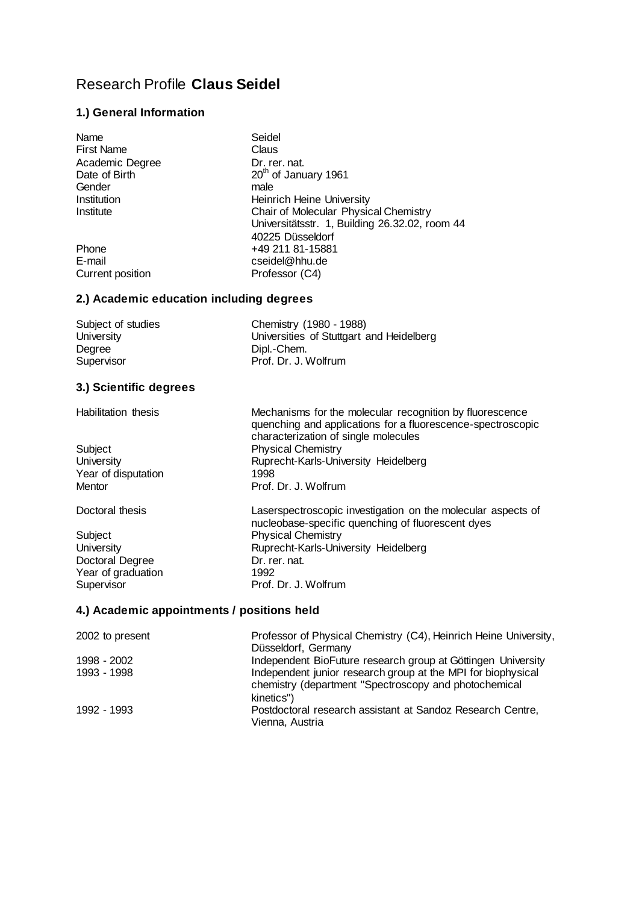## Research Profile **Claus Seidel**

## **1.) General Information**

| <b>First Name</b><br>Claus<br>Academic Degree<br>Dr. rer. nat.<br>20 <sup>th</sup> of January 1961<br>Date of Birth<br>Gender<br>male<br>Heinrich Heine University<br>Institution<br>Chair of Molecular Physical Chemistry<br>Institute<br>Universitätsstr. 1, Building 26.32.02, room 44<br>40225 Düsseldorf<br>+49 211 81-15881<br>Phone<br>E-mail<br>cseidel@hhu.de<br>Current position<br>Professor (C4)<br>2.) Academic education including degrees<br>Chemistry (1980 - 1988)<br>Subject of studies<br>Universities of Stuttgart and Heidelberg<br>University<br>Dipl.-Chem.<br>Degree<br>Prof. Dr. J. Wolfrum<br>Supervisor<br>3.) Scientific degrees<br>Habilitation thesis<br>Mechanisms for the molecular recognition by fluorescence<br>quenching and applications for a fluorescence-spectroscopic<br>characterization of single molecules<br><b>Physical Chemistry</b><br>Subject<br>Ruprecht-Karls-University Heidelberg<br>University<br>Year of disputation<br>1998<br>Prof. Dr. J. Wolfrum<br>Mentor<br>Doctoral thesis<br>Laserspectroscopic investigation on the molecular aspects of<br>nucleobase-specific quenching of fluorescent dyes<br><b>Physical Chemistry</b><br>Subject<br>Ruprecht-Karls-University Heidelberg<br>University<br>Doctoral Degree<br>Dr. rer. nat.<br>Year of graduation<br>1992 |  |
|-------------------------------------------------------------------------------------------------------------------------------------------------------------------------------------------------------------------------------------------------------------------------------------------------------------------------------------------------------------------------------------------------------------------------------------------------------------------------------------------------------------------------------------------------------------------------------------------------------------------------------------------------------------------------------------------------------------------------------------------------------------------------------------------------------------------------------------------------------------------------------------------------------------------------------------------------------------------------------------------------------------------------------------------------------------------------------------------------------------------------------------------------------------------------------------------------------------------------------------------------------------------------------------------------------------------------------|--|
|                                                                                                                                                                                                                                                                                                                                                                                                                                                                                                                                                                                                                                                                                                                                                                                                                                                                                                                                                                                                                                                                                                                                                                                                                                                                                                                               |  |
|                                                                                                                                                                                                                                                                                                                                                                                                                                                                                                                                                                                                                                                                                                                                                                                                                                                                                                                                                                                                                                                                                                                                                                                                                                                                                                                               |  |
|                                                                                                                                                                                                                                                                                                                                                                                                                                                                                                                                                                                                                                                                                                                                                                                                                                                                                                                                                                                                                                                                                                                                                                                                                                                                                                                               |  |
|                                                                                                                                                                                                                                                                                                                                                                                                                                                                                                                                                                                                                                                                                                                                                                                                                                                                                                                                                                                                                                                                                                                                                                                                                                                                                                                               |  |
|                                                                                                                                                                                                                                                                                                                                                                                                                                                                                                                                                                                                                                                                                                                                                                                                                                                                                                                                                                                                                                                                                                                                                                                                                                                                                                                               |  |
|                                                                                                                                                                                                                                                                                                                                                                                                                                                                                                                                                                                                                                                                                                                                                                                                                                                                                                                                                                                                                                                                                                                                                                                                                                                                                                                               |  |
|                                                                                                                                                                                                                                                                                                                                                                                                                                                                                                                                                                                                                                                                                                                                                                                                                                                                                                                                                                                                                                                                                                                                                                                                                                                                                                                               |  |
|                                                                                                                                                                                                                                                                                                                                                                                                                                                                                                                                                                                                                                                                                                                                                                                                                                                                                                                                                                                                                                                                                                                                                                                                                                                                                                                               |  |
|                                                                                                                                                                                                                                                                                                                                                                                                                                                                                                                                                                                                                                                                                                                                                                                                                                                                                                                                                                                                                                                                                                                                                                                                                                                                                                                               |  |
|                                                                                                                                                                                                                                                                                                                                                                                                                                                                                                                                                                                                                                                                                                                                                                                                                                                                                                                                                                                                                                                                                                                                                                                                                                                                                                                               |  |
|                                                                                                                                                                                                                                                                                                                                                                                                                                                                                                                                                                                                                                                                                                                                                                                                                                                                                                                                                                                                                                                                                                                                                                                                                                                                                                                               |  |
|                                                                                                                                                                                                                                                                                                                                                                                                                                                                                                                                                                                                                                                                                                                                                                                                                                                                                                                                                                                                                                                                                                                                                                                                                                                                                                                               |  |
|                                                                                                                                                                                                                                                                                                                                                                                                                                                                                                                                                                                                                                                                                                                                                                                                                                                                                                                                                                                                                                                                                                                                                                                                                                                                                                                               |  |
|                                                                                                                                                                                                                                                                                                                                                                                                                                                                                                                                                                                                                                                                                                                                                                                                                                                                                                                                                                                                                                                                                                                                                                                                                                                                                                                               |  |
|                                                                                                                                                                                                                                                                                                                                                                                                                                                                                                                                                                                                                                                                                                                                                                                                                                                                                                                                                                                                                                                                                                                                                                                                                                                                                                                               |  |
|                                                                                                                                                                                                                                                                                                                                                                                                                                                                                                                                                                                                                                                                                                                                                                                                                                                                                                                                                                                                                                                                                                                                                                                                                                                                                                                               |  |
|                                                                                                                                                                                                                                                                                                                                                                                                                                                                                                                                                                                                                                                                                                                                                                                                                                                                                                                                                                                                                                                                                                                                                                                                                                                                                                                               |  |
|                                                                                                                                                                                                                                                                                                                                                                                                                                                                                                                                                                                                                                                                                                                                                                                                                                                                                                                                                                                                                                                                                                                                                                                                                                                                                                                               |  |
|                                                                                                                                                                                                                                                                                                                                                                                                                                                                                                                                                                                                                                                                                                                                                                                                                                                                                                                                                                                                                                                                                                                                                                                                                                                                                                                               |  |
|                                                                                                                                                                                                                                                                                                                                                                                                                                                                                                                                                                                                                                                                                                                                                                                                                                                                                                                                                                                                                                                                                                                                                                                                                                                                                                                               |  |
|                                                                                                                                                                                                                                                                                                                                                                                                                                                                                                                                                                                                                                                                                                                                                                                                                                                                                                                                                                                                                                                                                                                                                                                                                                                                                                                               |  |
|                                                                                                                                                                                                                                                                                                                                                                                                                                                                                                                                                                                                                                                                                                                                                                                                                                                                                                                                                                                                                                                                                                                                                                                                                                                                                                                               |  |
|                                                                                                                                                                                                                                                                                                                                                                                                                                                                                                                                                                                                                                                                                                                                                                                                                                                                                                                                                                                                                                                                                                                                                                                                                                                                                                                               |  |
|                                                                                                                                                                                                                                                                                                                                                                                                                                                                                                                                                                                                                                                                                                                                                                                                                                                                                                                                                                                                                                                                                                                                                                                                                                                                                                                               |  |
|                                                                                                                                                                                                                                                                                                                                                                                                                                                                                                                                                                                                                                                                                                                                                                                                                                                                                                                                                                                                                                                                                                                                                                                                                                                                                                                               |  |
|                                                                                                                                                                                                                                                                                                                                                                                                                                                                                                                                                                                                                                                                                                                                                                                                                                                                                                                                                                                                                                                                                                                                                                                                                                                                                                                               |  |
|                                                                                                                                                                                                                                                                                                                                                                                                                                                                                                                                                                                                                                                                                                                                                                                                                                                                                                                                                                                                                                                                                                                                                                                                                                                                                                                               |  |
|                                                                                                                                                                                                                                                                                                                                                                                                                                                                                                                                                                                                                                                                                                                                                                                                                                                                                                                                                                                                                                                                                                                                                                                                                                                                                                                               |  |
| Prof. Dr. J. Wolfrum<br>Supervisor                                                                                                                                                                                                                                                                                                                                                                                                                                                                                                                                                                                                                                                                                                                                                                                                                                                                                                                                                                                                                                                                                                                                                                                                                                                                                            |  |
| 4.) Academic appointments / positions held                                                                                                                                                                                                                                                                                                                                                                                                                                                                                                                                                                                                                                                                                                                                                                                                                                                                                                                                                                                                                                                                                                                                                                                                                                                                                    |  |

| 2002 to present | Professor of Physical Chemistry (C4), Heinrich Heine University,                                                      |
|-----------------|-----------------------------------------------------------------------------------------------------------------------|
|                 | Düsseldorf, Germany                                                                                                   |
| 1998 - 2002     | Independent BioFuture research group at Göttingen University                                                          |
| 1993 - 1998     | Independent junior research group at the MPI for biophysical<br>chemistry (department "Spectroscopy and photochemical |
|                 | kinetics")                                                                                                            |
| 1992 - 1993     | Postdoctoral research assistant at Sandoz Research Centre,<br>Vienna, Austria                                         |